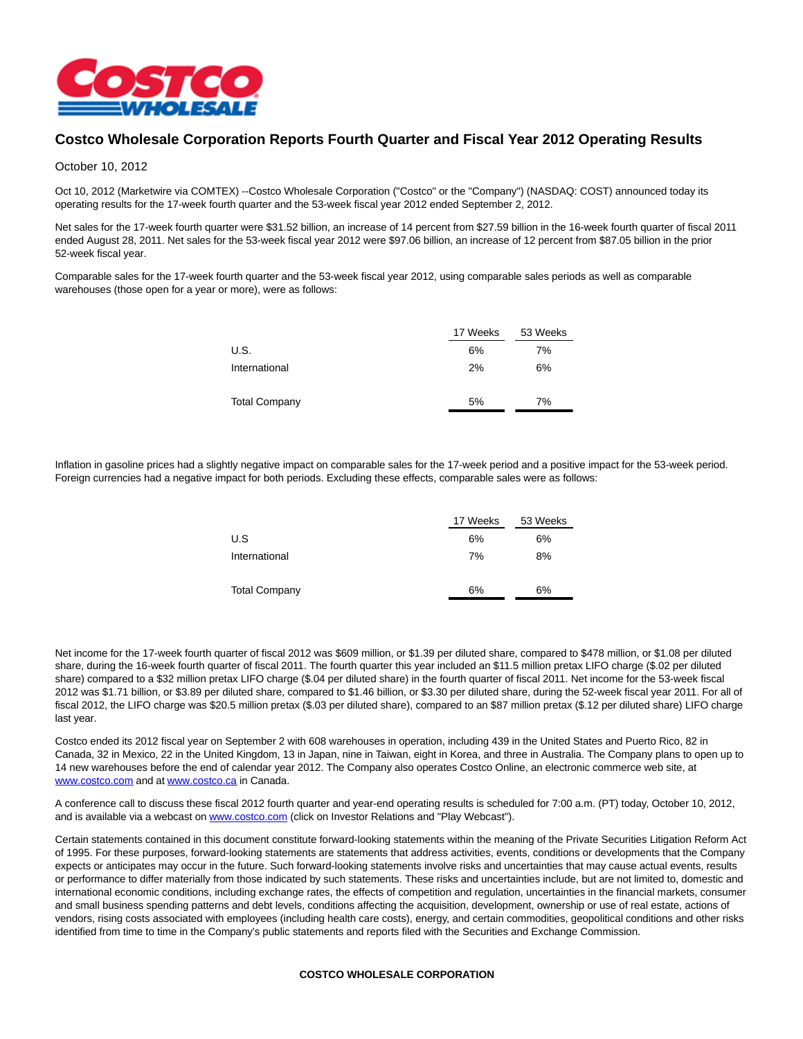

## **Costco Wholesale Corporation Reports Fourth Quarter and Fiscal Year 2012 Operating Results**

### October 10, 2012

Oct 10, 2012 (Marketwire via COMTEX) --Costco Wholesale Corporation ("Costco" or the "Company") (NASDAQ: COST) announced today its operating results for the 17-week fourth quarter and the 53-week fiscal year 2012 ended September 2, 2012.

Net sales for the 17-week fourth quarter were \$31.52 billion, an increase of 14 percent from \$27.59 billion in the 16-week fourth quarter of fiscal 2011 ended August 28, 2011. Net sales for the 53-week fiscal year 2012 were \$97.06 billion, an increase of 12 percent from \$87.05 billion in the prior 52-week fiscal year.

Comparable sales for the 17-week fourth quarter and the 53-week fiscal year 2012, using comparable sales periods as well as comparable warehouses (those open for a year or more), were as follows:

|                      | 17 Weeks | 53 Weeks |  |  |
|----------------------|----------|----------|--|--|
| U.S.                 | 6%       | 7%       |  |  |
| International        | 2%       | 6%       |  |  |
| <b>Total Company</b> | 5%       | 7%       |  |  |

Inflation in gasoline prices had a slightly negative impact on comparable sales for the 17-week period and a positive impact for the 53-week period. Foreign currencies had a negative impact for both periods. Excluding these effects, comparable sales were as follows:

|                      | 17 Weeks | 53 Weeks |  |  |
|----------------------|----------|----------|--|--|
| U.S                  | 6%       | 6%       |  |  |
| International        | 7%       | 8%       |  |  |
|                      |          |          |  |  |
| <b>Total Company</b> | 6%       | 6%       |  |  |
|                      |          |          |  |  |

Net income for the 17-week fourth quarter of fiscal 2012 was \$609 million, or \$1.39 per diluted share, compared to \$478 million, or \$1.08 per diluted share, during the 16-week fourth quarter of fiscal 2011. The fourth quarter this year included an \$11.5 million pretax LIFO charge (\$.02 per diluted share) compared to a \$32 million pretax LIFO charge (\$.04 per diluted share) in the fourth quarter of fiscal 2011. Net income for the 53-week fiscal 2012 was \$1.71 billion, or \$3.89 per diluted share, compared to \$1.46 billion, or \$3.30 per diluted share, during the 52-week fiscal year 2011. For all of fiscal 2012, the LIFO charge was \$20.5 million pretax (\$.03 per diluted share), compared to an \$87 million pretax (\$.12 per diluted share) LIFO charge last year.

Costco ended its 2012 fiscal year on September 2 with 608 warehouses in operation, including 439 in the United States and Puerto Rico, 82 in Canada, 32 in Mexico, 22 in the United Kingdom, 13 in Japan, nine in Taiwan, eight in Korea, and three in Australia. The Company plans to open up to 14 new warehouses before the end of calendar year 2012. The Company also operates Costco Online, an electronic commerce web site, at [www.costco.com a](http://ctt.marketwire.com/?release=939987&id=2131927&type=1&url=http%3a%2f%2fwww.costco.com%2f)nd at [www.costco.ca i](http://ctt.marketwire.com/?release=939987&id=2131930&type=1&url=http%3a%2f%2fwww.costco.ca%2f)n Canada.

A conference call to discuss these fiscal 2012 fourth quarter and year-end operating results is scheduled for 7:00 a.m. (PT) today, October 10, 2012, and is available via a webcast on [www.costco.com \(](http://ctt.marketwire.com/?release=939987&id=2131933&type=1&url=http%3a%2f%2fwww.costco.com%2f)click on Investor Relations and "Play Webcast").

Certain statements contained in this document constitute forward-looking statements within the meaning of the Private Securities Litigation Reform Act of 1995. For these purposes, forward-looking statements are statements that address activities, events, conditions or developments that the Company expects or anticipates may occur in the future. Such forward-looking statements involve risks and uncertainties that may cause actual events, results or performance to differ materially from those indicated by such statements. These risks and uncertainties include, but are not limited to, domestic and international economic conditions, including exchange rates, the effects of competition and regulation, uncertainties in the financial markets, consumer and small business spending patterns and debt levels, conditions affecting the acquisition, development, ownership or use of real estate, actions of vendors, rising costs associated with employees (including health care costs), energy, and certain commodities, geopolitical conditions and other risks identified from time to time in the Company's public statements and reports filed with the Securities and Exchange Commission.

#### **COSTCO WHOLESALE CORPORATION**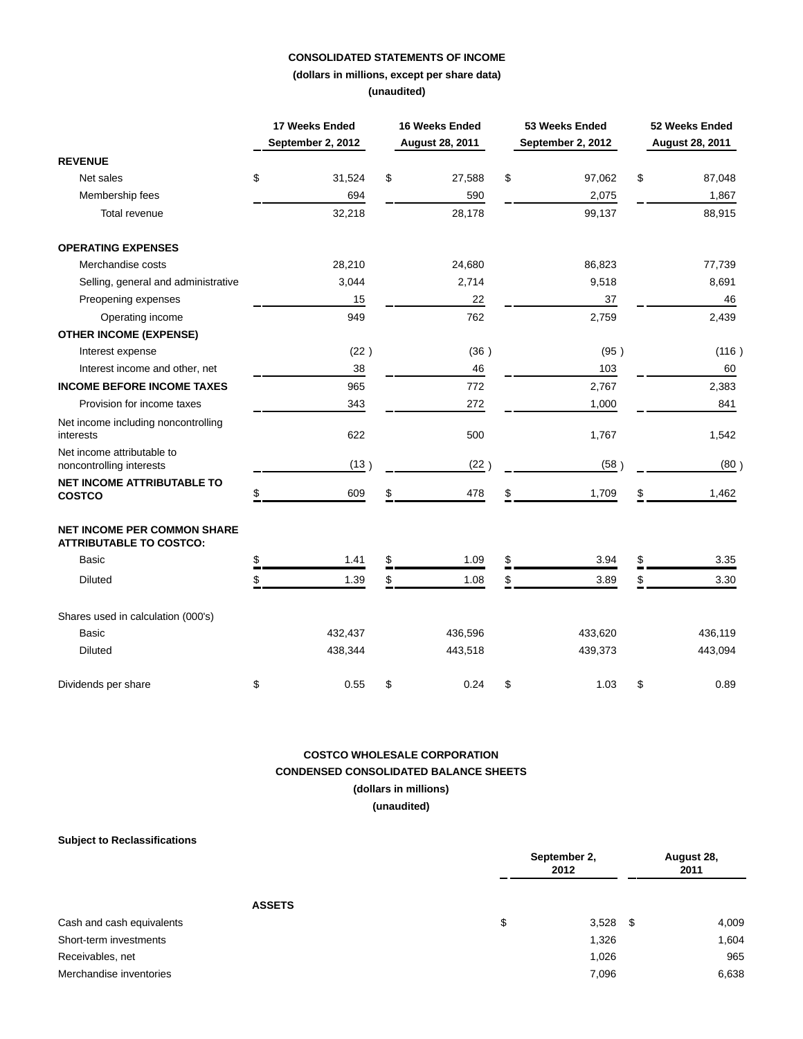## **CONSOLIDATED STATEMENTS OF INCOME**

**(dollars in millions, except per share data) (unaudited)**

|                                                                      | 17 Weeks Ended<br>September 2, 2012 | 16 Weeks Ended<br>August 28, 2011 | 53 Weeks Ended<br>September 2, 2012 | 52 Weeks Ended<br>August 28, 2011 |
|----------------------------------------------------------------------|-------------------------------------|-----------------------------------|-------------------------------------|-----------------------------------|
| <b>REVENUE</b>                                                       |                                     |                                   |                                     |                                   |
| Net sales                                                            | \$<br>31,524                        | \$<br>27,588                      | \$<br>97,062                        | \$<br>87,048                      |
| Membership fees                                                      | 694                                 | 590                               | 2,075                               | 1,867                             |
| Total revenue                                                        | 32,218                              | 28,178                            | 99,137                              | 88,915                            |
| <b>OPERATING EXPENSES</b>                                            |                                     |                                   |                                     |                                   |
| Merchandise costs                                                    | 28,210                              | 24,680                            | 86,823                              | 77,739                            |
| Selling, general and administrative                                  | 3,044                               | 2,714                             | 9,518                               | 8,691                             |
| Preopening expenses                                                  | 15                                  | 22                                | 37                                  | 46                                |
| Operating income                                                     | 949                                 | 762                               | 2,759                               | 2,439                             |
| <b>OTHER INCOME (EXPENSE)</b>                                        |                                     |                                   |                                     |                                   |
| Interest expense                                                     | (22)                                | (36)                              | (95)                                | (116)                             |
| Interest income and other, net                                       | 38                                  | 46                                | 103                                 | 60                                |
| <b>INCOME BEFORE INCOME TAXES</b>                                    | 965                                 | 772                               | 2,767                               | 2,383                             |
| Provision for income taxes                                           | 343                                 | 272                               | 1,000                               | 841                               |
| Net income including noncontrolling<br>interests                     | 622                                 | 500                               | 1,767                               | 1,542                             |
| Net income attributable to<br>noncontrolling interests               | (13)                                | (22)                              | (58)                                | (80)                              |
| <b>NET INCOME ATTRIBUTABLE TO</b><br><b>COSTCO</b>                   | \$<br>609                           | \$<br>478                         | \$<br>1,709                         | \$<br>1,462                       |
| <b>NET INCOME PER COMMON SHARE</b><br><b>ATTRIBUTABLE TO COSTCO:</b> |                                     |                                   |                                     |                                   |
| Basic                                                                | \$<br>1.41                          | \$<br>1.09                        | \$<br>3.94                          | \$<br>3.35                        |
| <b>Diluted</b>                                                       | \$<br>1.39                          | \$<br>1.08                        | \$<br>3.89                          | \$<br>3.30                        |
| Shares used in calculation (000's)                                   |                                     |                                   |                                     |                                   |
| Basic                                                                | 432,437                             | 436,596                           | 433,620                             | 436,119                           |
| <b>Diluted</b>                                                       | 438,344                             | 443,518                           | 439,373                             | 443,094                           |
| Dividends per share                                                  | \$<br>0.55                          | \$<br>0.24                        | \$<br>1.03                          | \$<br>0.89                        |

# **COSTCO WHOLESALE CORPORATION CONDENSED CONSOLIDATED BALANCE SHEETS (dollars in millions)**

**(unaudited)**

| <b>Subject to Reclassifications</b> |                      |            |                    |  |
|-------------------------------------|----------------------|------------|--------------------|--|
|                                     | September 2,<br>2012 |            | August 28,<br>2011 |  |
| <b>ASSETS</b>                       |                      |            |                    |  |
| Cash and cash equivalents           | \$                   | $3,528$ \$ | 4,009              |  |
| Short-term investments              |                      | 1,326      | 1,604              |  |
| Receivables, net                    |                      | 1,026      | 965                |  |
| Merchandise inventories             |                      | 7,096      | 6,638              |  |